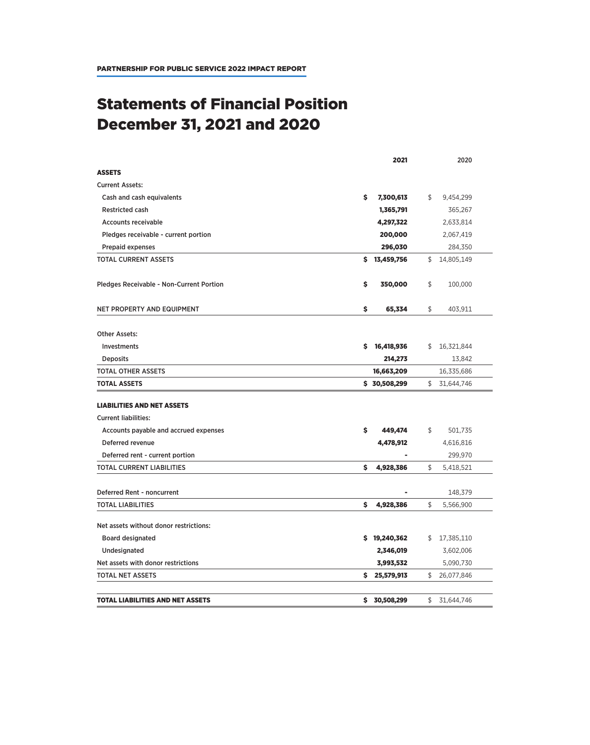## Statements of Financial Position December 31, 2021 and 2020

|                                                 | 2021             | 2020             |
|-------------------------------------------------|------------------|------------------|
| <b>ASSETS</b>                                   |                  |                  |
| <b>Current Assets:</b>                          |                  |                  |
| Cash and cash equivalents                       | \$<br>7,300,613  | \$<br>9,454,299  |
| <b>Restricted cash</b>                          | 1,365,791        | 365,267          |
| <b>Accounts receivable</b>                      | 4,297,322        | 2,633,814        |
| Pledges receivable - current portion            | 200,000          | 2,067,419        |
| <b>Prepaid expenses</b>                         | 296,030          | 284,350          |
| <b>TOTAL CURRENT ASSETS</b>                     | \$13,459,756     | \$<br>14,805,149 |
| <b>Pledges Receivable - Non-Current Portion</b> | \$<br>350,000    | \$<br>100,000    |
| NET PROPERTY AND EQUIPMENT                      | \$<br>65,334     | \$<br>403,911    |
| <b>Other Assets:</b>                            |                  |                  |
| <b>Investments</b>                              | s<br>16,418,936  | \$<br>16,321,844 |
| <b>Deposits</b>                                 | 214,273          | 13,842           |
| TOTAL OTHER ASSETS                              | 16,663,209       | 16,335,686       |
| <b>TOTAL ASSETS</b>                             | \$30,508,299     | \$<br>31,644,746 |
| <b>LIABILITIES AND NET ASSETS</b>               |                  |                  |
| <b>Current liabilities:</b>                     |                  |                  |
| Accounts payable and accrued expenses           | \$<br>449,474    | \$<br>501,735    |
| Deferred revenue                                | 4,478,912        | 4,616,816        |
| Deferred rent - current portion                 |                  | 299,970          |
| TOTAL CURRENT LIABILITIES                       | \$<br>4,928,386  | \$<br>5,418,521  |
| Deferred Rent - noncurrent                      |                  | 148,379          |
| <b>TOTAL LIABILITIES</b>                        | \$<br>4,928,386  | \$<br>5,566,900  |
| Net assets without donor restrictions:          |                  |                  |
| <b>Board designated</b>                         | \$19,240,362     | \$<br>17,385,110 |
| Undesignated                                    | 2,346,019        | 3,602,006        |
| Net assets with donor restrictions              | 3,993,532        | 5,090,730        |
| <b>TOTAL NET ASSETS</b>                         | 25,579,913<br>\$ | \$<br>26,077,846 |
| <b>TOTAL LIABILITIES AND NET ASSETS</b>         | \$<br>30,508,299 | \$<br>31,644,746 |